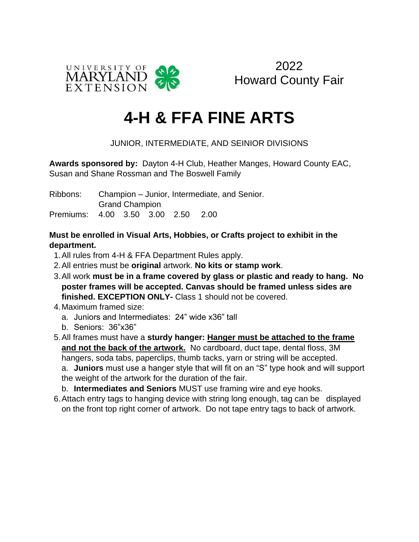

2022 Howard County Fair

# **4-H & FFA FINE ARTS**

### JUNIOR, INTERMEDIATE, AND SEINIOR DIVISIONS

**Awards sponsored by:** Dayton 4-H Club, Heather Manges, Howard County EAC, Susan and Shane Rossman and The Boswell Family

Ribbons: Champion – Junior, Intermediate, and Senior. Grand Champion Premiums: 4.00 3.50 3.00 2.50 2.00

#### **Must be enrolled in Visual Arts, Hobbies, or Crafts project to exhibit in the department.**

- 1.All rules from 4-H & FFA Department Rules apply.
- 2.All entries must be **original** artwork. **No kits or stamp work**.
- 3.All work **must be in a frame covered by glass or plastic and ready to hang. No poster frames will be accepted. Canvas should be framed unless sides are finished. EXCEPTION ONLY-** Class 1 should not be covered.
- 4.Maximum framed size:
	- a. Juniors and Intermediates: 24" wide x36" tall
	- b. Seniors: 36"x36"
- 5.All frames must have a **sturdy hanger: Hanger must be attached to the frame and not the back of the artwork.** No cardboard, duct tape, dental floss, 3M hangers, soda tabs, paperclips, thumb tacks, yarn or string will be accepted.

a. **Juniors** must use a hanger style that will fit on an "S" type hook and will support the weight of the artwork for the duration of the fair.

- b. **Intermediates and Seniors** MUST use framing wire and eye hooks.
- 6.Attach entry tags to hanging device with string long enough, tag can be displayed on the front top right corner of artwork. Do not tape entry tags to back of artwork.